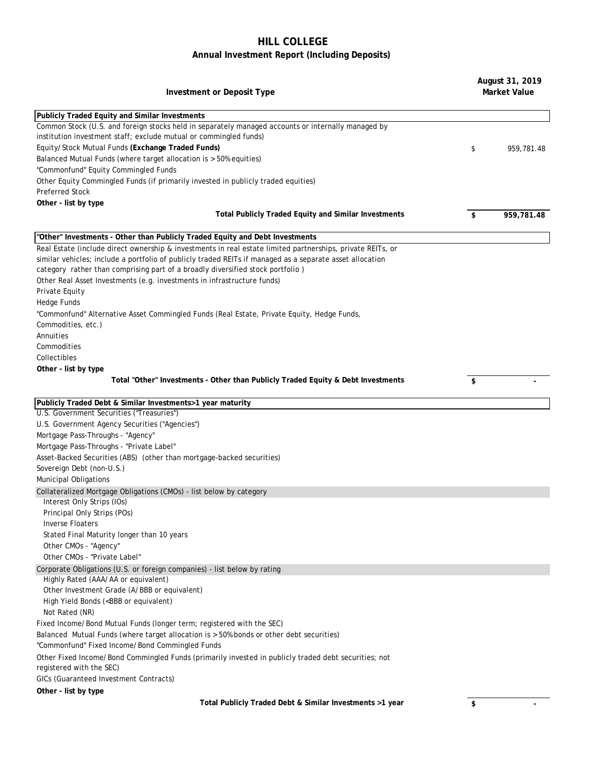## **HILL COLLEGE**

## **Annual Investment Report (Including Deposits)**

| <b>Investment or Deposit Type</b>                                                                                                                                                                                                                                                                                                                                                   | August 31, 2019<br><b>Market Value</b> |  |
|-------------------------------------------------------------------------------------------------------------------------------------------------------------------------------------------------------------------------------------------------------------------------------------------------------------------------------------------------------------------------------------|----------------------------------------|--|
| Publicly Traded Equity and Similar Investments                                                                                                                                                                                                                                                                                                                                      |                                        |  |
| Common Stock (U.S. and foreign stocks held in separately managed accounts or internally managed by<br>institution investment staff; exclude mutual or commingled funds)                                                                                                                                                                                                             |                                        |  |
| Equity/Stock Mutual Funds (Exchange Traded Funds)                                                                                                                                                                                                                                                                                                                                   | \$<br>959,781.48                       |  |
| Balanced Mutual Funds (where target allocation is > 50% equities)                                                                                                                                                                                                                                                                                                                   |                                        |  |
| "Commonfund" Equity Commingled Funds                                                                                                                                                                                                                                                                                                                                                |                                        |  |
| Other Equity Commingled Funds (if primarily invested in publicly traded equities)                                                                                                                                                                                                                                                                                                   |                                        |  |
| <b>Preferred Stock</b>                                                                                                                                                                                                                                                                                                                                                              |                                        |  |
| Other - list by type                                                                                                                                                                                                                                                                                                                                                                |                                        |  |
| Total Publicly Traded Equity and Similar Investments                                                                                                                                                                                                                                                                                                                                | \$<br>959,781.48                       |  |
| "Other" Investments - Other than Publicly Traded Equity and Debt Investments                                                                                                                                                                                                                                                                                                        |                                        |  |
| Real Estate (include direct ownership & investments in real estate limited partnerships, private REITs, or<br>similar vehicles; include a portfolio of publicly traded REITs if managed as a separate asset allocation<br>category rather than comprising part of a broadly diversified stock portfolio)<br>Other Real Asset Investments (e.g. investments in infrastructure funds) |                                        |  |
| Private Equity                                                                                                                                                                                                                                                                                                                                                                      |                                        |  |
| <b>Hedge Funds</b>                                                                                                                                                                                                                                                                                                                                                                  |                                        |  |
| "Commonfund" Alternative Asset Commingled Funds (Real Estate, Private Equity, Hedge Funds,<br>Commodities, etc.)                                                                                                                                                                                                                                                                    |                                        |  |
| Annuities                                                                                                                                                                                                                                                                                                                                                                           |                                        |  |
| Commodities                                                                                                                                                                                                                                                                                                                                                                         |                                        |  |
| Collectibles                                                                                                                                                                                                                                                                                                                                                                        |                                        |  |
| Other - list by type<br>Total "Other" Investments - Other than Publicly Traded Equity & Debt Investments                                                                                                                                                                                                                                                                            | \$                                     |  |
| Publicly Traded Debt & Similar Investments>1 year maturity                                                                                                                                                                                                                                                                                                                          |                                        |  |
| U.S. Government Securities ("Treasuries")                                                                                                                                                                                                                                                                                                                                           |                                        |  |
| U.S. Government Agency Securities ("Agencies")                                                                                                                                                                                                                                                                                                                                      |                                        |  |
| Mortgage Pass-Throughs - "Agency"                                                                                                                                                                                                                                                                                                                                                   |                                        |  |
| Mortgage Pass-Throughs - "Private Label"                                                                                                                                                                                                                                                                                                                                            |                                        |  |
| Asset-Backed Securities (ABS) (other than mortgage-backed securities)                                                                                                                                                                                                                                                                                                               |                                        |  |
| Sovereign Debt (non-U.S.)                                                                                                                                                                                                                                                                                                                                                           |                                        |  |
| <b>Municipal Obligations</b>                                                                                                                                                                                                                                                                                                                                                        |                                        |  |
| Collateralized Mortgage Obligations (CMOs) - list below by category<br>Interest Only Strips (IOs)                                                                                                                                                                                                                                                                                   |                                        |  |
| Principal Only Strips (POs)                                                                                                                                                                                                                                                                                                                                                         |                                        |  |
| <b>Inverse Floaters</b>                                                                                                                                                                                                                                                                                                                                                             |                                        |  |
| Stated Final Maturity longer than 10 years                                                                                                                                                                                                                                                                                                                                          |                                        |  |
| Other CMOs - "Agency"                                                                                                                                                                                                                                                                                                                                                               |                                        |  |
| Other CMOs - "Private Label"                                                                                                                                                                                                                                                                                                                                                        |                                        |  |
| Corporate Obligations (U.S. or foreign companies) - list below by rating<br>Highly Rated (AAA/AA or equivalent)                                                                                                                                                                                                                                                                     |                                        |  |
| Other Investment Grade (A/BBB or equivalent)                                                                                                                                                                                                                                                                                                                                        |                                        |  |
| High Yield Bonds ( <bbb equivalent)<="" or="" td=""><td></td></bbb>                                                                                                                                                                                                                                                                                                                 |                                        |  |
| Not Rated (NR)                                                                                                                                                                                                                                                                                                                                                                      |                                        |  |
| Fixed Income/Bond Mutual Funds (longer term; registered with the SEC)                                                                                                                                                                                                                                                                                                               |                                        |  |
| Balanced Mutual Funds (where target allocation is > 50% bonds or other debt securities)<br>"Commonfund" Fixed Income/Bond Commingled Funds                                                                                                                                                                                                                                          |                                        |  |
| Other Fixed Income/Bond Commingled Funds (primarily invested in publicly traded debt securities; not                                                                                                                                                                                                                                                                                |                                        |  |
| registered with the SEC)                                                                                                                                                                                                                                                                                                                                                            |                                        |  |
| GICs (Guaranteed Investment Contracts)                                                                                                                                                                                                                                                                                                                                              |                                        |  |
| Other - list by type                                                                                                                                                                                                                                                                                                                                                                |                                        |  |